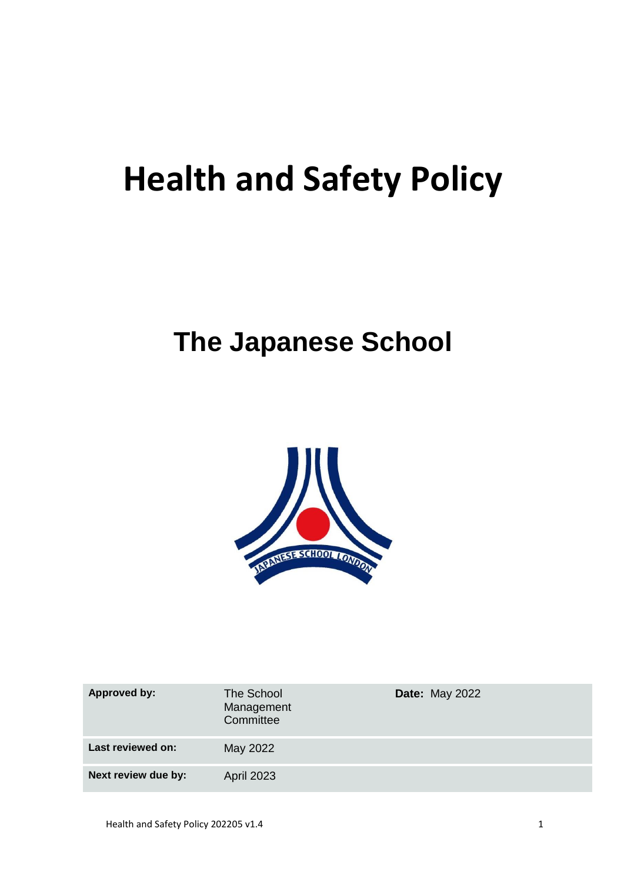# **Health and Safety Policy**

# **The Japanese School**



| <b>Approved by:</b> | The School<br>Management<br>Committee | <b>Date: May 2022</b> |
|---------------------|---------------------------------------|-----------------------|
| Last reviewed on:   | May 2022                              |                       |
| Next review due by: | <b>April 2023</b>                     |                       |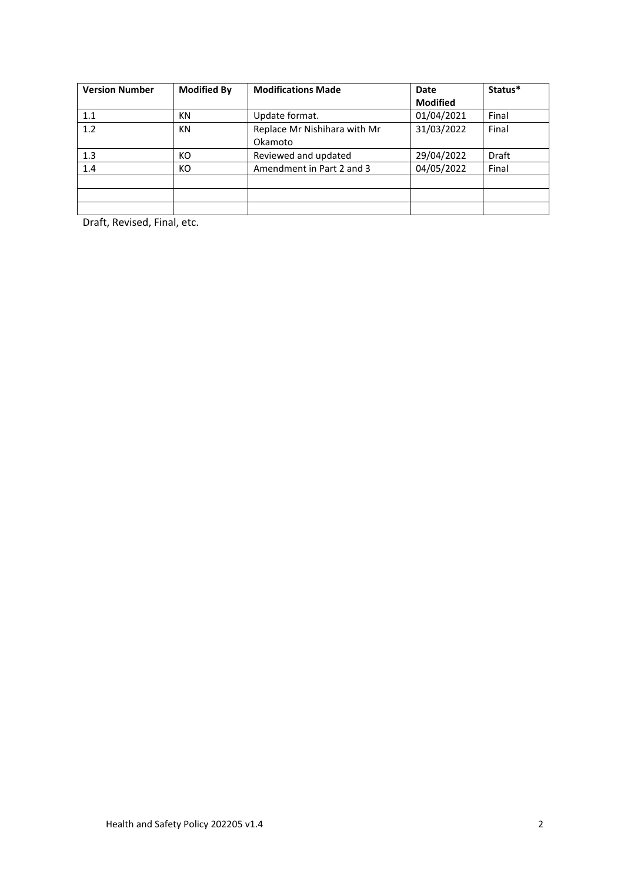| <b>Version Number</b> | <b>Modified By</b> | <b>Modifications Made</b>    | Date            | Status*      |
|-----------------------|--------------------|------------------------------|-----------------|--------------|
|                       |                    |                              | <b>Modified</b> |              |
| 1.1                   | <b>KN</b>          | Update format.               | 01/04/2021      | Final        |
| 1.2                   | <b>KN</b>          | Replace Mr Nishihara with Mr | 31/03/2022      | Final        |
|                       |                    | Okamoto                      |                 |              |
| 1.3                   | КO                 | Reviewed and updated         | 29/04/2022      | <b>Draft</b> |
| 1.4                   | КO                 | Amendment in Part 2 and 3    | 04/05/2022      | Final        |
|                       |                    |                              |                 |              |
|                       |                    |                              |                 |              |
|                       |                    |                              |                 |              |

Draft, Revised, Final, etc.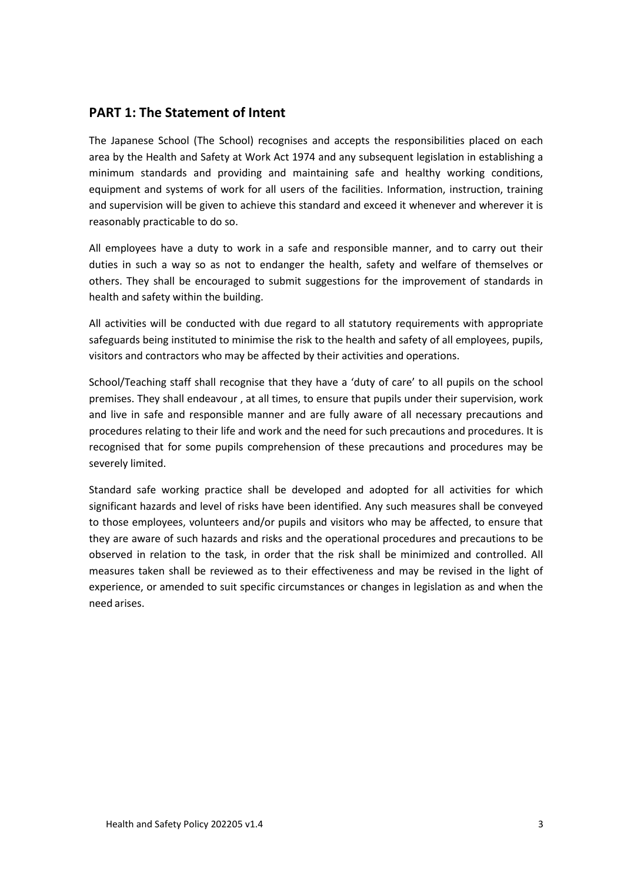# **PART 1: The Statement of Intent**

The Japanese School (The School) recognises and accepts the responsibilities placed on each area by the Health and Safety at Work Act 1974 and any subsequent legislation in establishing a minimum standards and providing and maintaining safe and healthy working conditions, equipment and systems of work for all users of the facilities. Information, instruction, training and supervision will be given to achieve this standard and exceed it whenever and wherever it is reasonably practicable to do so.

All employees have a duty to work in a safe and responsible manner, and to carry out their duties in such a way so as not to endanger the health, safety and welfare of themselves or others. They shall be encouraged to submit suggestions for the improvement of standards in health and safety within the building.

All activities will be conducted with due regard to all statutory requirements with appropriate safeguards being instituted to minimise the risk to the health and safety of all employees, pupils, visitors and contractors who may be affected by their activities and operations.

School/Teaching staff shall recognise that they have a 'duty of care' to all pupils on the school premises. They shall endeavour , at all times, to ensure that pupils under their supervision, work and live in safe and responsible manner and are fully aware of all necessary precautions and procedures relating to their life and work and the need for such precautions and procedures. It is recognised that for some pupils comprehension of these precautions and procedures may be severely limited.

Standard safe working practice shall be developed and adopted for all activities for which significant hazards and level of risks have been identified. Any such measures shall be conveyed to those employees, volunteers and/or pupils and visitors who may be affected, to ensure that they are aware of such hazards and risks and the operational procedures and precautions to be observed in relation to the task, in order that the risk shall be minimized and controlled. All measures taken shall be reviewed as to their effectiveness and may be revised in the light of experience, or amended to suit specific circumstances or changes in legislation as and when the need arises.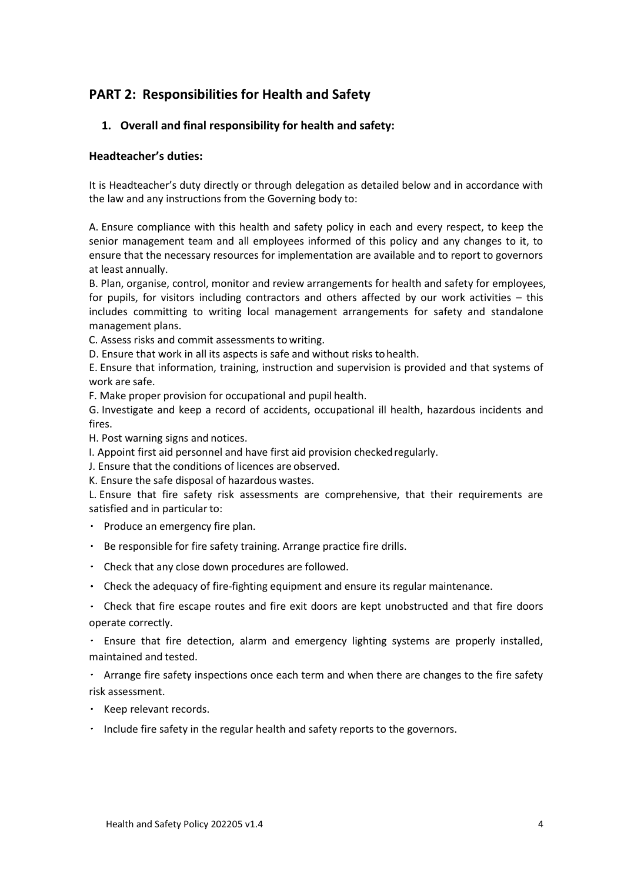# **PART 2: Responsibilities for Health and Safety**

# **1. Overall and final responsibility for health and safety:**

## **Headteacher's duties:**

It is Headteacher's duty directly or through delegation as detailed below and in accordance with the law and any instructions from the Governing body to:

A. Ensure compliance with this health and safety policy in each and every respect, to keep the senior management team and all employees informed of this policy and any changes to it, to ensure that the necessary resources for implementation are available and to report to governors at least annually.

B. Plan, organise, control, monitor and review arrangements for health and safety for employees, for pupils, for visitors including contractors and others affected by our work activities – this includes committing to writing local management arrangements for safety and standalone management plans.

C. Assess risks and commit assessments to writing.

D. Ensure that work in all its aspects is safe and without risks tohealth.

E. Ensure that information, training, instruction and supervision is provided and that systems of work are safe.

F. Make proper provision for occupational and pupil health.

G. Investigate and keep a record of accidents, occupational ill health, hazardous incidents and fires.

H. Post warning signs and notices.

I. Appoint first aid personnel and have first aid provision checkedregularly.

J. Ensure that the conditions of licences are observed.

K. Ensure the safe disposal of hazardous wastes.

L. Ensure that fire safety risk assessments are comprehensive, that their requirements are satisfied and in particular to:

- $\cdot$  Produce an emergency fire plan.
- Be responsible for fire safety training. Arrange practice fire drills.
- Check that any close down procedures are followed.
- Check the adequacy of fire‐fighting equipment and ensure its regular maintenance.
- Check that fire escape routes and fire exit doors are kept unobstructed and that fire doors operate correctly.

Ensure that fire detection, alarm and emergency lighting systems are properly installed, maintained and tested.

Arrange fire safety inspections once each term and when there are changes to the fire safety risk assessment.

- $\cdot$  Keep relevant records.
- $\cdot$  Include fire safety in the regular health and safety reports to the governors.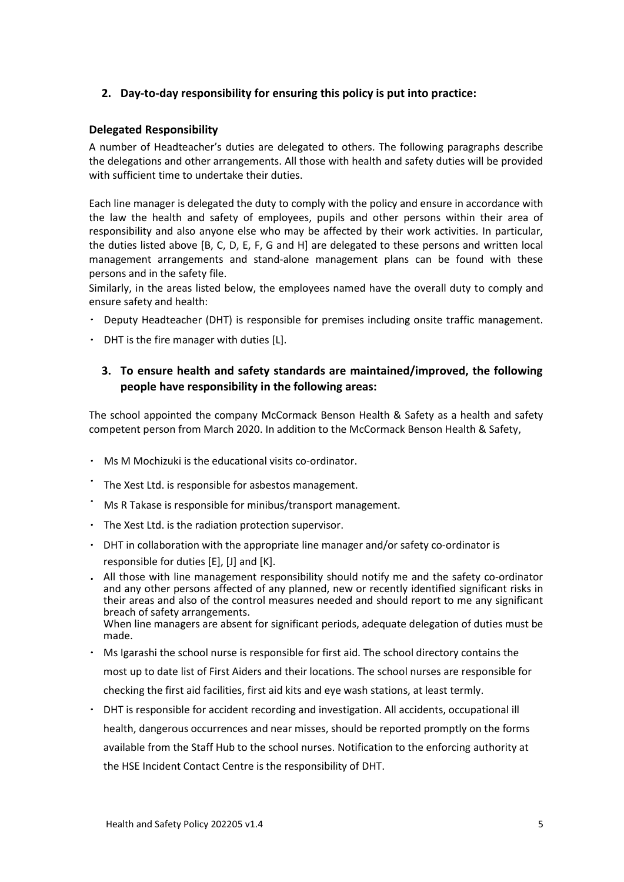# **2. Day-to-day responsibility for ensuring this policy is put into practice:**

## **Delegated Responsibility**

A number of Headteacher's duties are delegated to others. The following paragraphs describe the delegations and other arrangements. All those with health and safety duties will be provided with sufficient time to undertake their duties.

Each line manager is delegated the duty to comply with the policy and ensure in accordance with the law the health and safety of employees, pupils and other persons within their area of responsibility and also anyone else who may be affected by their work activities. In particular, the duties listed above [B, C, D, E, F, G and H] are delegated to these persons and written local management arrangements and stand‐alone management plans can be found with these persons and in the safety file.

Similarly, in the areas listed below, the employees named have the overall duty to comply and ensure safety and health:

- Deputy Headteacher (DHT) is responsible for premises including onsite traffic management.
- $\cdot$  DHT is the fire manager with duties [L].

# **3. To ensure health and safety standards are maintained/improved, the following people have responsibility in the following areas:**

The school appointed the company McCormack Benson Health & Safety as a health and safety competent person from March 2020. In addition to the McCormack Benson Health & Safety,

- Ms M Mochizuki is the educational visits co‐ordinator.
- The Xest Ltd. is responsible for asbestos management.
- Ms R Takase is responsible for minibus/transport management.
- $\cdot$  The Xest Ltd. is the radiation protection supervisor.
- $\cdot$  DHT in collaboration with the appropriate line manager and/or safety co-ordinator is responsible for duties [E], [J] and [K].
- All those with line management responsibility should notify me and the safety co‐ordinator and any other persons affected of any planned, new or recently identified significant risks in their areas and also of the control measures needed and should report to me any significant breach of safety arrangements. When line managers are absent for significant periods, adequate delegation of duties must be made.
- Ms Igarashi the school nurse is responsible for first aid. The school directory contains the most up to date list of First Aiders and their locations. The school nurses are responsible for checking the first aid facilities, first aid kits and eye wash stations, at least termly.
- DHT is responsible for accident recording and investigation. All accidents, occupational ill health, dangerous occurrences and near misses, should be reported promptly on the forms available from the Staff Hub to the school nurses. Notification to the enforcing authority at the HSE Incident Contact Centre is the responsibility of DHT.